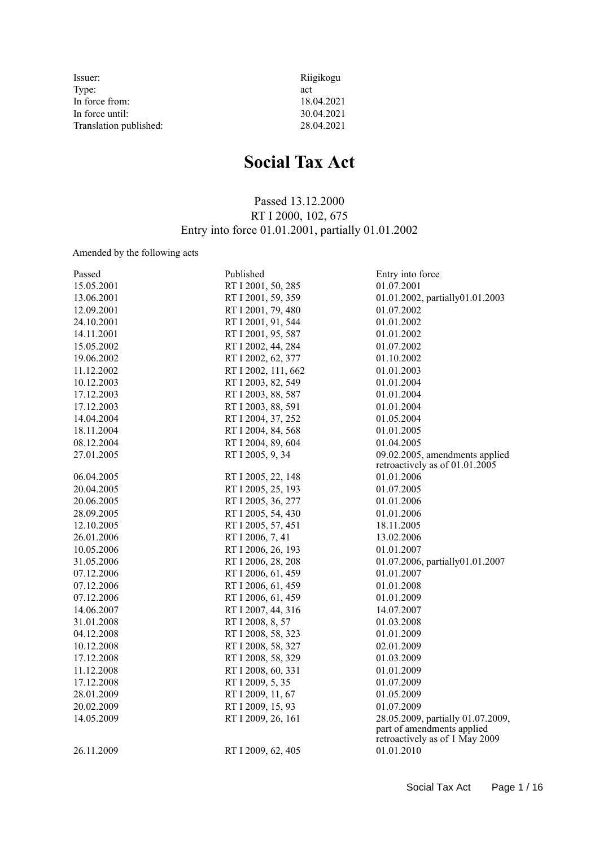| Issuer:                | Riigikogu  |
|------------------------|------------|
| Type:                  | act        |
| In force from:         | 18.04.2021 |
| In force until:        | 30.04.2021 |
| Translation published: | 28.04.2021 |

# **Social Tax Act**

# Passed 13.12.2000 RT I 2000, 102, 675 Entry into force 01.01.2001, partially 01.01.2002

## Amended by the following acts

| Passed     | Published           | Entry into force                                             |
|------------|---------------------|--------------------------------------------------------------|
| 15.05.2001 | RT I 2001, 50, 285  | 01.07.2001                                                   |
| 13.06.2001 | RT I 2001, 59, 359  | 01.01.2002, partially01.01.2003                              |
| 12.09.2001 | RT I 2001, 79, 480  | 01.07.2002                                                   |
| 24.10.2001 | RT I 2001, 91, 544  | 01.01.2002                                                   |
| 14.11.2001 | RT I 2001, 95, 587  | 01.01.2002                                                   |
| 15.05.2002 | RT I 2002, 44, 284  | 01.07.2002                                                   |
| 19.06.2002 | RT I 2002, 62, 377  | 01.10.2002                                                   |
| 11.12.2002 | RT I 2002, 111, 662 | 01.01.2003                                                   |
| 10.12.2003 | RT I 2003, 82, 549  | 01.01.2004                                                   |
| 17.12.2003 | RT I 2003, 88, 587  | 01.01.2004                                                   |
| 17.12.2003 | RT I 2003, 88, 591  | 01.01.2004                                                   |
| 14.04.2004 | RT I 2004, 37, 252  | 01.05.2004                                                   |
| 18.11.2004 | RT I 2004, 84, 568  | 01.01.2005                                                   |
| 08.12.2004 | RT I 2004, 89, 604  | 01.04.2005                                                   |
| 27.01.2005 | RT I 2005, 9, 34    | 09.02.2005, amendments applied                               |
|            |                     | retroactively as of $01.01.2005$                             |
| 06.04.2005 | RT I 2005, 22, 148  | 01.01.2006                                                   |
| 20.04.2005 | RT I 2005, 25, 193  | 01.07.2005                                                   |
| 20.06.2005 | RT I 2005, 36, 277  | 01.01.2006                                                   |
| 28.09.2005 | RT I 2005, 54, 430  | 01.01.2006                                                   |
| 12.10.2005 | RT I 2005, 57, 451  | 18.11.2005                                                   |
| 26.01.2006 | RT I 2006, 7, 41    | 13.02.2006                                                   |
| 10.05.2006 | RT I 2006, 26, 193  | 01.01.2007                                                   |
| 31.05.2006 | RT I 2006, 28, 208  | 01.07.2006, partially01.01.2007                              |
| 07.12.2006 | RT I 2006, 61, 459  | 01.01.2007                                                   |
| 07.12.2006 | RT I 2006, 61, 459  | 01.01.2008                                                   |
| 07.12.2006 | RT I 2006, 61, 459  | 01.01.2009                                                   |
| 14.06.2007 | RT I 2007, 44, 316  | 14.07.2007                                                   |
| 31.01.2008 | RT I 2008, 8, 57    | 01.03.2008                                                   |
| 04.12.2008 | RT I 2008, 58, 323  | 01.01.2009                                                   |
| 10.12.2008 | RT I 2008, 58, 327  | 02.01.2009                                                   |
| 17.12.2008 | RT I 2008, 58, 329  | 01.03.2009                                                   |
| 11.12.2008 | RT I 2008, 60, 331  | 01.01.2009                                                   |
| 17.12.2008 | RT I 2009, 5, 35    | 01.07.2009                                                   |
| 28.01.2009 | RT I 2009, 11, 67   | 01.05.2009                                                   |
| 20.02.2009 | RT I 2009, 15, 93   | 01.07.2009                                                   |
| 14.05.2009 | RT I 2009, 26, 161  | 28.05.2009, partially 01.07.2009,                            |
|            |                     | part of amendments applied<br>retroactively as of 1 May 2009 |
| 26.11.2009 | RT I 2009, 62, 405  | 01.01.2010                                                   |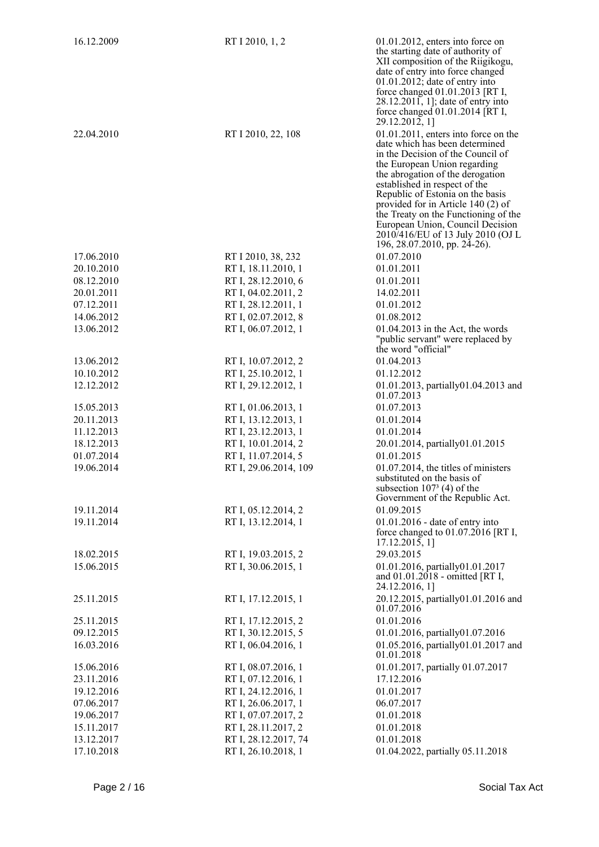| 16.12.2009 | RT I 2010, 1, 2       | $01.01.2012$ , enters into force on<br>the starting date of authority of<br>XII composition of the Riigikogu,<br>date of entry into force changed<br>$01.01.2012$ ; date of entry into                                                                                                                                                                                                                                                         |
|------------|-----------------------|------------------------------------------------------------------------------------------------------------------------------------------------------------------------------------------------------------------------------------------------------------------------------------------------------------------------------------------------------------------------------------------------------------------------------------------------|
|            |                       | force changed 01.01.2013 [RT I,<br>28.12.2011, 1]; date of entry into<br>force changed 01.01.2014 [RT I,<br>29.12.2012, 1]                                                                                                                                                                                                                                                                                                                     |
| 22.04.2010 | RT I 2010, 22, 108    | $01.01.2011$ , enters into force on the<br>date which has been determined<br>in the Decision of the Council of<br>the European Union regarding<br>the abrogation of the derogation<br>established in respect of the<br>Republic of Estonia on the basis<br>provided for in Article 140 (2) of<br>the Treaty on the Functioning of the<br>European Union, Council Decision<br>2010/416/EU of 13 July 2010 (OJ L<br>196, 28.07.2010, pp. 24-26). |
| 17.06.2010 | RT I 2010, 38, 232    | 01.07.2010                                                                                                                                                                                                                                                                                                                                                                                                                                     |
| 20.10.2010 | RT I, 18.11.2010, 1   | 01.01.2011                                                                                                                                                                                                                                                                                                                                                                                                                                     |
| 08.12.2010 | RT I, 28.12.2010, 6   | 01.01.2011                                                                                                                                                                                                                                                                                                                                                                                                                                     |
| 20.01.2011 | RT I, 04.02.2011, 2   | 14.02.2011                                                                                                                                                                                                                                                                                                                                                                                                                                     |
| 07.12.2011 | RT I, 28.12.2011, 1   | 01.01.2012                                                                                                                                                                                                                                                                                                                                                                                                                                     |
| 14.06.2012 | RT I, 02.07.2012, 8   | 01.08.2012                                                                                                                                                                                                                                                                                                                                                                                                                                     |
| 13.06.2012 | RT I, 06.07.2012, 1   | 01.04.2013 in the Act, the words<br>"public servant" were replaced by<br>the word "official"                                                                                                                                                                                                                                                                                                                                                   |
| 13.06.2012 | RT I, 10.07.2012, 2   | 01.04.2013                                                                                                                                                                                                                                                                                                                                                                                                                                     |
| 10.10.2012 | RT I, 25.10.2012, 1   | 01.12.2012                                                                                                                                                                                                                                                                                                                                                                                                                                     |
| 12.12.2012 | RT I, 29.12.2012, 1   | 01.01.2013, partially01.04.2013 and<br>01.07.2013                                                                                                                                                                                                                                                                                                                                                                                              |
| 15.05.2013 | RT I, 01.06.2013, 1   | 01.07.2013                                                                                                                                                                                                                                                                                                                                                                                                                                     |
| 20.11.2013 | RT I, 13.12.2013, 1   | 01.01.2014                                                                                                                                                                                                                                                                                                                                                                                                                                     |
| 11.12.2013 | RT I, 23.12.2013, 1   | 01.01.2014                                                                                                                                                                                                                                                                                                                                                                                                                                     |
| 18.12.2013 | RT I, 10.01.2014, 2   | 20.01.2014, partially01.01.2015                                                                                                                                                                                                                                                                                                                                                                                                                |
| 01.07.2014 | RT I, 11.07.2014, 5   | 01.01.2015                                                                                                                                                                                                                                                                                                                                                                                                                                     |
| 19.06.2014 | RT I, 29.06.2014, 109 | $01.07.2014$ , the titles of ministers<br>substituted on the basis of<br>subsection $1073$ (4) of the<br>Government of the Republic Act.                                                                                                                                                                                                                                                                                                       |
| 19.11.2014 | RT I, 05.12.2014, 2   | 01.09.2015                                                                                                                                                                                                                                                                                                                                                                                                                                     |
| 19.11.2014 | RT I, 13.12.2014, 1   | 01.01.2016 - date of entry into<br>force changed to $01.07.2016$ [RT I,<br>17.12.2015, 1                                                                                                                                                                                                                                                                                                                                                       |
| 18.02.2015 | RT I, 19.03.2015, 2   | 29.03.2015                                                                                                                                                                                                                                                                                                                                                                                                                                     |
| 15.06.2015 | RT I, 30.06.2015, 1   | 01.01.2016, partially01.01.2017<br>and 01.01.2018 - omitted [RT I,<br>24.12.2016, 1]                                                                                                                                                                                                                                                                                                                                                           |
| 25.11.2015 | RT I, 17.12.2015, 1   | 20.12.2015, partially01.01.2016 and<br>01.07.2016                                                                                                                                                                                                                                                                                                                                                                                              |
| 25.11.2015 | RT I, 17.12.2015, 2   | 01.01.2016                                                                                                                                                                                                                                                                                                                                                                                                                                     |
| 09.12.2015 | RT I, 30.12.2015, 5   | 01.01.2016, partially01.07.2016                                                                                                                                                                                                                                                                                                                                                                                                                |
| 16.03.2016 | RT I, 06.04.2016, 1   | 01.05.2016, partially01.01.2017 and<br>01.01.2018                                                                                                                                                                                                                                                                                                                                                                                              |
| 15.06.2016 | RT I, 08.07.2016, 1   | 01.01.2017, partially 01.07.2017                                                                                                                                                                                                                                                                                                                                                                                                               |
| 23.11.2016 | RT I, 07.12.2016, 1   | 17.12.2016                                                                                                                                                                                                                                                                                                                                                                                                                                     |
| 19.12.2016 | RT I, 24.12.2016, 1   | 01.01.2017                                                                                                                                                                                                                                                                                                                                                                                                                                     |
| 07.06.2017 | RT I, 26.06.2017, 1   | 06.07.2017                                                                                                                                                                                                                                                                                                                                                                                                                                     |
| 19.06.2017 | RT I, 07.07.2017, 2   | 01.01.2018                                                                                                                                                                                                                                                                                                                                                                                                                                     |
| 15.11.2017 | RT I, 28.11.2017, 2   | 01.01.2018                                                                                                                                                                                                                                                                                                                                                                                                                                     |
| 13.12.2017 | RT I, 28.12.2017, 74  | 01.01.2018                                                                                                                                                                                                                                                                                                                                                                                                                                     |
| 17.10.2018 | RT I, 26.10.2018, 1   | 01.04.2022, partially 05.11.2018                                                                                                                                                                                                                                                                                                                                                                                                               |
|            |                       |                                                                                                                                                                                                                                                                                                                                                                                                                                                |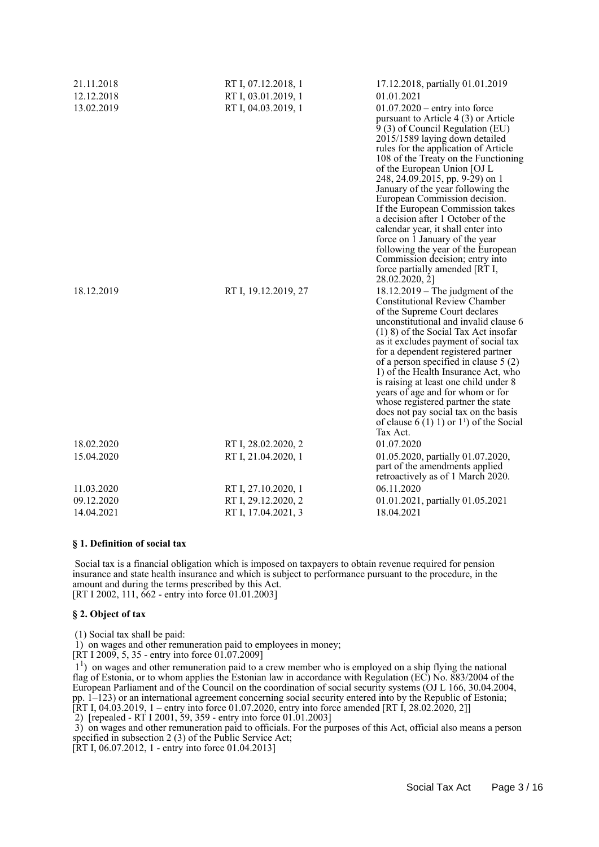| 21.11.2018 | RT I, 07.12.2018, 1  | 17.12.2018, partially 01.01.2019                                                                                                                                                                                                                                                                                                                                                                                                                                                                                                                                                                                                                     |
|------------|----------------------|------------------------------------------------------------------------------------------------------------------------------------------------------------------------------------------------------------------------------------------------------------------------------------------------------------------------------------------------------------------------------------------------------------------------------------------------------------------------------------------------------------------------------------------------------------------------------------------------------------------------------------------------------|
| 12.12.2018 | RT I, 03.01.2019, 1  | 01.01.2021                                                                                                                                                                                                                                                                                                                                                                                                                                                                                                                                                                                                                                           |
| 13.02.2019 | RT I, 04.03.2019, 1  | $01.07.2020$ – entry into force<br>pursuant to Article 4 (3) or Article<br>9 (3) of Council Regulation (EU)<br>2015/1589 laying down detailed<br>rules for the application of Article<br>108 of the Treaty on the Functioning<br>of the European Union [OJ L]<br>248, 24.09.2015, pp. 9-29) on 1<br>January of the year following the<br>European Commission decision.<br>If the European Commission takes<br>a decision after 1 October of the<br>calendar year, it shall enter into<br>force on 1 January of the year<br>following the year of the European<br>Commission decision; entry into<br>force partially amended [RT I,<br>28.02.2020, 2] |
| 18.12.2019 | RT I, 19.12.2019, 27 | $18.12.2019$ – The judgment of the<br><b>Constitutional Review Chamber</b><br>of the Supreme Court declares<br>unconstitutional and invalid clause 6<br>$(1)$ 8) of the Social Tax Act insofar<br>as it excludes payment of social tax<br>for a dependent registered partner<br>of a person specified in clause $5(2)$<br>1) of the Health Insurance Act, who<br>is raising at least one child under 8<br>years of age and for whom or for<br>whose registered partner the state<br>does not pay social tax on the basis<br>of clause $6(1) 1$ or $11$ of the Social<br>Tax Act.                                                                     |
| 18.02.2020 | RT I, 28.02.2020, 2  | 01.07.2020                                                                                                                                                                                                                                                                                                                                                                                                                                                                                                                                                                                                                                           |
| 15.04.2020 | RT I, 21.04.2020, 1  | 01.05.2020, partially 01.07.2020,<br>part of the amendments applied<br>retroactively as of 1 March 2020.                                                                                                                                                                                                                                                                                                                                                                                                                                                                                                                                             |
| 11.03.2020 | RT I, 27.10.2020, 1  | 06.11.2020                                                                                                                                                                                                                                                                                                                                                                                                                                                                                                                                                                                                                                           |
| 09.12.2020 | RT I, 29.12.2020, 2  | 01.01.2021, partially 01.05.2021                                                                                                                                                                                                                                                                                                                                                                                                                                                                                                                                                                                                                     |
| 14.04.2021 | RT I, 17.04.2021, 3  | 18.04.2021                                                                                                                                                                                                                                                                                                                                                                                                                                                                                                                                                                                                                                           |

### **§ 1. Definition of social tax**

 Social tax is a financial obligation which is imposed on taxpayers to obtain revenue required for pension insurance and state health insurance and which is subject to performance pursuant to the procedure, in the amount and during the terms prescribed by this Act. [RT I 2002, 111, 662 - entry into force 01.01.2003]

#### **§ 2. Object of tax**

(1) Social tax shall be paid:

1) on wages and other remuneration paid to employees in money;

[RT I 2009, 5, 35 - entry into force 01.07.2009]

 11 ) on wages and other remuneration paid to a crew member who is employed on a ship flying the national flag of Estonia, or to whom applies the Estonian law in accordance with Regulation (EC) No. 883/2004 of the European Parliament and of the Council on the coordination of social security systems (OJ L 166, 30.04.2004, pp. 1–123) or an international agreement concerning social security entered into by the Republic of Estonia; [RT I, 04.03.2019, 1 – entry into force 01.07.2020, entry into force amended [RT I, 28.02.2020, 2]]

2) [repealed - RT I 2001, 59, 359 - entry into force 01.01.2003]

 3) on wages and other remuneration paid to officials. For the purposes of this Act, official also means a person specified in subsection 2 (3) of the Public Service Act;

[RT I, 06.07.2012, 1 - entry into force 01.04.2013]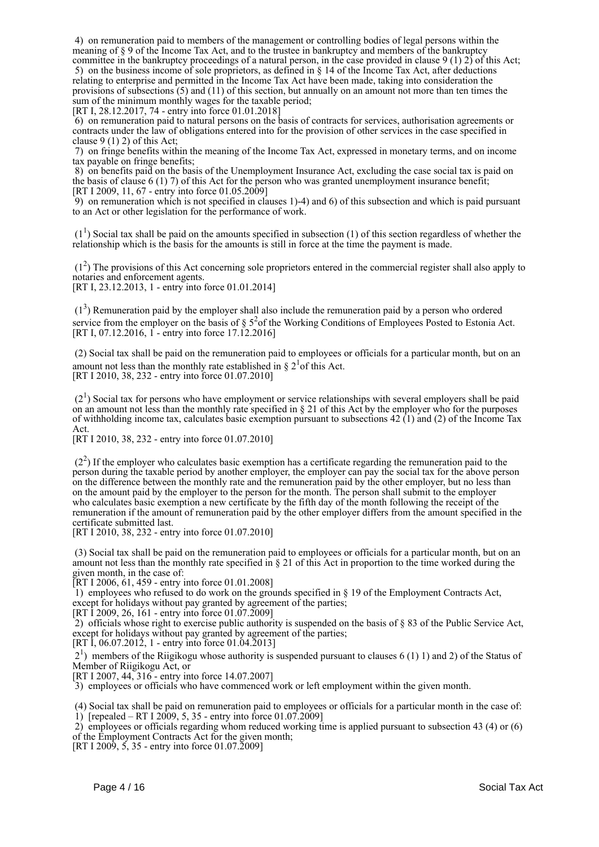4) on remuneration paid to members of the management or controlling bodies of legal persons within the meaning of § 9 of the Income Tax Act, and to the trustee in bankruptcy and members of the bankruptcy committee in the bankruptcy proceedings of a natural person, in the case provided in clause 9 (1) 2) of this Act;

 5) on the business income of sole proprietors, as defined in § 14 of the Income Tax Act, after deductions relating to enterprise and permitted in the Income Tax Act have been made, taking into consideration the provisions of subsections (5) and (11) of this section, but annually on an amount not more than ten times the sum of the minimum monthly wages for the taxable period;

[RT I, 28.12.2017, 74 - entry into force 01.01.2018]

 6) on remuneration paid to natural persons on the basis of contracts for services, authorisation agreements or contracts under the law of obligations entered into for the provision of other services in the case specified in clause 9 (1) 2) of this Act;

 7) on fringe benefits within the meaning of the Income Tax Act, expressed in monetary terms, and on income tax payable on fringe benefits;

 8) on benefits paid on the basis of the Unemployment Insurance Act, excluding the case social tax is paid on the basis of clause 6 (1) 7) of this Act for the person who was granted unemployment insurance benefit; [RT I 2009, 11, 67 - entry into force 01.05.2009]

 9) on remuneration which is not specified in clauses 1)-4) and 6) of this subsection and which is paid pursuant to an Act or other legislation for the performance of work.

 $(1<sup>1</sup>)$  Social tax shall be paid on the amounts specified in subsection (1) of this section regardless of whether the relationship which is the basis for the amounts is still in force at the time the payment is made.

 (1<sup>2</sup> ) The provisions of this Act concerning sole proprietors entered in the commercial register shall also apply to notaries and enforcement agents.

[RT I, 23.12.2013, 1 - entry into force 01.01.2014]

 $(1<sup>3</sup>)$  Remuneration paid by the employer shall also include the remuneration paid by a person who ordered service from the employer on the basis of  $\S$  5<sup>2</sup> of the Working Conditions of Employees Posted to Estonia Act. [RT I, 07.12.2016, 1 - entry into force 17.12.2016]

 (2) Social tax shall be paid on the remuneration paid to employees or officials for a particular month, but on an amount not less than the monthly rate established in  $\S 2<sup>1</sup>$  of this Act. [RT I 2010, 38, 232 - entry into force 01.07.2010]

 $(2<sup>1</sup>)$  Social tax for persons who have employment or service relationships with several employers shall be paid on an amount not less than the monthly rate specified in  $\S 21$  of this Act by the employer who for the purposes of withholding income tax, calculates basic exemption pursuant to subsections 42 (1) and (2) of the Income Tax Act.

[RT I 2010, 38, 232 - entry into force 01.07.2010]

 $(2<sup>2</sup>)$  If the employer who calculates basic exemption has a certificate regarding the remuneration paid to the person during the taxable period by another employer, the employer can pay the social tax for the above person on the difference between the monthly rate and the remuneration paid by the other employer, but no less than on the amount paid by the employer to the person for the month. The person shall submit to the employer who calculates basic exemption a new certificate by the fifth day of the month following the receipt of the remuneration if the amount of remuneration paid by the other employer differs from the amount specified in the certificate submitted last.

[RT I 2010, 38, 232 - entry into force 01.07.2010]

 (3) Social tax shall be paid on the remuneration paid to employees or officials for a particular month, but on an amount not less than the monthly rate specified in § 21 of this Act in proportion to the time worked during the given month, in the case of:

[RT I 2006, 61, 459 - entry into force 01.01.2008]

 1) employees who refused to do work on the grounds specified in § 19 of the Employment Contracts Act, except for holidays without pay granted by agreement of the parties;

[RT I 2009, 26, 161 - entry into force 01.07.2009]

 2) officials whose right to exercise public authority is suspended on the basis of § 83 of the Public Service Act, except for holidays without pay granted by agreement of the parties;

[RT I, 06.07.2012, 1 - entry into force 01.04.2013]

 21 ) members of the Riigikogu whose authority is suspended pursuant to clauses 6 (1) 1) and 2) of the Status of Member of Riigikogu Act, or

[RT I 2007, 44, 316 - entry into force 14.07.2007]

3) employees or officials who have commenced work or left employment within the given month.

 (4) Social tax shall be paid on remuneration paid to employees or officials for a particular month in the case of: 1) [repealed – RT I 2009, 5, 35 - entry into force  $01.07.2009$ ]

2) employees or officials regarding whom reduced working time is applied pursuant to subsection 43 (4) or (6)

of the Employment Contracts Act for the given month; [RT I 2009,  $5$ , 35 - entry into force 01.07.2009]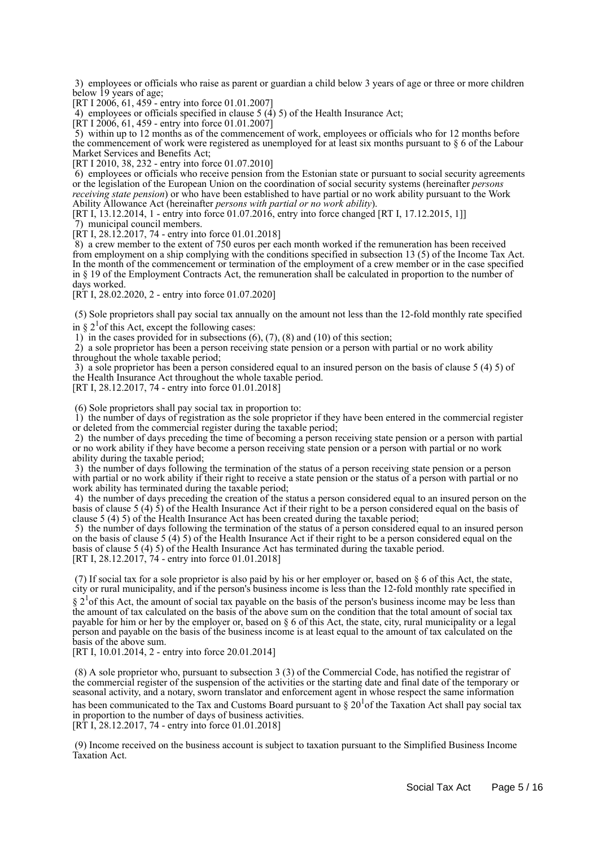3) employees or officials who raise as parent or guardian a child below 3 years of age or three or more children below 19 years of age;

[RT I 2006, 61, 459 - entry into force 01.01.2007]

4) employees or officials specified in clause  $5(4)5$  of the Health Insurance Act;

[RT I 2006, 61, 459 - entry into force 01.01.2007]

 5) within up to 12 months as of the commencement of work, employees or officials who for 12 months before the commencement of work were registered as unemployed for at least six months pursuant to § 6 of the Labour Market Services and Benefits Act;

[RT I 2010, 38, 232 - entry into force 01.07.2010]

 6) employees or officials who receive pension from the Estonian state or pursuant to social security agreements or the legislation of the European Union on the coordination of social security systems (hereinafter *persons receiving state pension*) or who have been established to have partial or no work ability pursuant to the Work Ability Allowance Act (hereinafter *persons with partial or no work ability*).

[RT I, 13.12.2014, 1 - entry into force 01.07.2016, entry into force changed [RT I, 17.12.2015, 1]]

7) municipal council members.

[RT I, 28.12.2017, 74 - entry into force 01.01.2018]

 8) a crew member to the extent of 750 euros per each month worked if the remuneration has been received from employment on a ship complying with the conditions specified in subsection 13 (5) of the Income Tax Act. In the month of the commencement or termination of the employment of a crew member or in the case specified in § 19 of the Employment Contracts Act, the remuneration shall be calculated in proportion to the number of days worked.

[RT I, 28.02.2020, 2 - entry into force 01.07.2020]

 (5) Sole proprietors shall pay social tax annually on the amount not less than the 12-fold monthly rate specified in  $\S 2<sup>1</sup>$  of this Act, except the following cases:

1) in the cases provided for in subsections  $(6)$ ,  $(7)$ ,  $(8)$  and  $(10)$  of this section;

 2) a sole proprietor has been a person receiving state pension or a person with partial or no work ability throughout the whole taxable period;

 3) a sole proprietor has been a person considered equal to an insured person on the basis of clause 5 (4) 5) of the Health Insurance Act throughout the whole taxable period.

[RT I, 28.12.2017, 74 - entry into force 01.01.2018]

(6) Sole proprietors shall pay social tax in proportion to:

 1) the number of days of registration as the sole proprietor if they have been entered in the commercial register or deleted from the commercial register during the taxable period;

 2) the number of days preceding the time of becoming a person receiving state pension or a person with partial or no work ability if they have become a person receiving state pension or a person with partial or no work ability during the taxable period;

 3) the number of days following the termination of the status of a person receiving state pension or a person with partial or no work ability if their right to receive a state pension or the status of a person with partial or no work ability has terminated during the taxable period;

 4) the number of days preceding the creation of the status a person considered equal to an insured person on the basis of clause 5 (4) 5) of the Health Insurance Act if their right to be a person considered equal on the basis of clause 5 (4) 5) of the Health Insurance Act has been created during the taxable period;

 5) the number of days following the termination of the status of a person considered equal to an insured person on the basis of clause 5 (4) 5) of the Health Insurance Act if their right to be a person considered equal on the basis of clause 5 (4) 5) of the Health Insurance Act has terminated during the taxable period. [RT I, 28.12.2017, 74 - entry into force 01.01.2018]

(7) If social tax for a sole proprietor is also paid by his or her employer or, based on  $\S 6$  of this Act, the state, city or rural municipality, and if the person's business income is less than the 12-fold monthly rate specified in

 $\S 2<sup>1</sup>$  of this Act, the amount of social tax payable on the basis of the person's business income may be less than the amount of tax calculated on the basis of the above sum on the condition that the total amount of social tax payable for him or her by the employer or, based on § 6 of this Act, the state, city, rural municipality or a legal person and payable on the basis of the business income is at least equal to the amount of tax calculated on the basis of the above sum.

[RT I, 10.01.2014, 2 - entry into force 20.01.2014]

 (8) A sole proprietor who, pursuant to subsection 3 (3) of the Commercial Code, has notified the registrar of the commercial register of the suspension of the activities or the starting date and final date of the temporary or seasonal activity, and a notary, sworn translator and enforcement agent in whose respect the same information has been communicated to the Tax and Customs Board pursuant to  $\S 20<sup>1</sup>$  of the Taxation Act shall pay social tax in proportion to the number of days of business activities.

[RT I, 28.12.2017, 74 - entry into force 01.01.2018]

 (9) Income received on the business account is subject to taxation pursuant to the Simplified Business Income Taxation Act.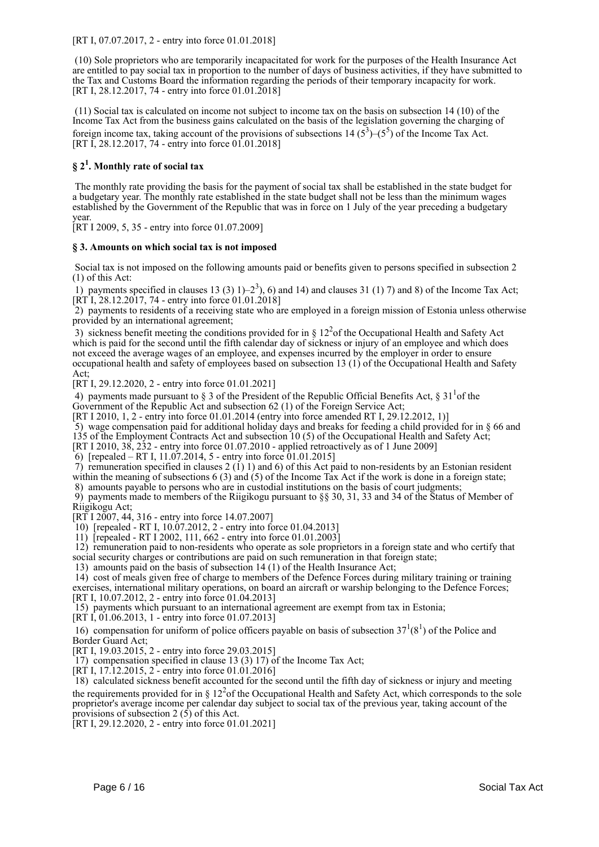[RT I, 07.07.2017, 2 - entry into force 01.01.2018]

 (10) Sole proprietors who are temporarily incapacitated for work for the purposes of the Health Insurance Act are entitled to pay social tax in proportion to the number of days of business activities, if they have submitted to the Tax and Customs Board the information regarding the periods of their temporary incapacity for work. [RT I, 28.12.2017, 74 - entry into force 01.01.2018]

 (11) Social tax is calculated on income not subject to income tax on the basis on subsection 14 (10) of the Income Tax Act from the business gains calculated on the basis of the legislation governing the charging of foreign income tax, taking account of the provisions of subsections  $14(5^3)$ – $(5^5)$  of the Income Tax Act. [RT I, 28.12.2017, 74 - entry into force 01.01.2018]

## **§ 2<sup>1</sup> . Monthly rate of social tax**

 The monthly rate providing the basis for the payment of social tax shall be established in the state budget for a budgetary year. The monthly rate established in the state budget shall not be less than the minimum wages established by the Government of the Republic that was in force on 1 July of the year preceding a budgetary year.

[RT I 2009, 5, 35 - entry into force 01.07.2009]

#### **§ 3. Amounts on which social tax is not imposed**

 Social tax is not imposed on the following amounts paid or benefits given to persons specified in subsection 2 (1) of this Act:

1) payments specified in clauses 13 (3) 1)–2<sup>3</sup>), 6) and 14) and clauses 31 (1) 7) and 8) of the Income Tax Act;  $[\overline{RT}I, \overline{28.12.20}I7, \overline{74}$  - entry into force  $01.01.2018]$ 

 2) payments to residents of a receiving state who are employed in a foreign mission of Estonia unless otherwise provided by an international agreement;

3) sickness benefit meeting the conditions provided for in  $\S 12<sup>2</sup>$  of the Occupational Health and Safety Act which is paid for the second until the fifth calendar day of sickness or injury of an employee and which does not exceed the average wages of an employee, and expenses incurred by the employer in order to ensure occupational health and safety of employees based on subsection 13 (1) of the Occupational Health and Safety Act;

[RT I, 29.12.2020, 2 - entry into force 01.01.2021]

4) payments made pursuant to  $\S 3$  of the President of the Republic Official Benefits Act,  $\S 31<sup>1</sup>$ of the Government of the Republic Act and subsection 62 (1) of the Foreign Service Act;

[RT I 2010, 1, 2 - entry into force 01.01.2014 (entry into force amended RT I, 29.12.2012, 1)]

5) wage compensation paid for additional holiday days and breaks for feeding a child provided for in § 66 and

135 of the Employment Contracts Act and subsection 10 (5) of the Occupational Health and Safety Act;

[RT I 2010, 38, 232 - entry into force 01.07.2010 - applied retroactively as of 1 June 2009]

6) [repealed – RT I, 11.07.2014, 5 - entry into force 01.01.2015]

7) remuneration specified in clauses  $2(1)$  1) and 6) of this Act paid to non-residents by an Estonian resident within the meaning of subsections 6 (3) and (5) of the Income Tax Act if the work is done in a foreign state; 8) amounts payable to persons who are in custodial institutions on the basis of court judgments;

 9) payments made to members of the Riigikogu pursuant to §§ 30, 31, 33 and 34 of the Status of Member of Riigikogu Act;

[RT I 2007, 44, 316 - entry into force 14.07.2007]

10) [repealed - RT I, 10.07.2012, 2 - entry into force 01.04.2013]

11) [repealed - RT I 2002, 111, 662 - entry into force 01.01.2003]

 12) remuneration paid to non-residents who operate as sole proprietors in a foreign state and who certify that social security charges or contributions are paid on such remuneration in that foreign state;

13) amounts paid on the basis of subsection 14 (1) of the Health Insurance Act;

 14) cost of meals given free of charge to members of the Defence Forces during military training or training exercises, international military operations, on board an aircraft or warship belonging to the Defence Forces; [RT I, 10.07.2012, 2 - entry into force 01.04.2013]

15) payments which pursuant to an international agreement are exempt from tax in Estonia;

[RT I, 01.06.2013, 1 - entry into force 01.07.2013]

16) compensation for uniform of police officers payable on basis of subsection  $37<sup>1</sup>(8<sup>1</sup>)$  of the Police and Border Guard Act;

[RT I, 19.03.2015, 2 - entry into force 29.03.2015]

17) compensation specified in clause 13 (3) 17) of the Income Tax Act;

[RT I, 17.12.2015, 2 - entry into force 01.01.2016]

 18) calculated sickness benefit accounted for the second until the fifth day of sickness or injury and meeting the requirements provided for in  $\S 12^2$  of the Occupational Health and Safety Act, which corresponds to the sole proprietor's average income per calendar day subject to social tax of the previous year, taking account of the provisions of subsection  $2(5)$  of this Act.

[RT I, 29.12.2020, 2 - entry into force 01.01.2021]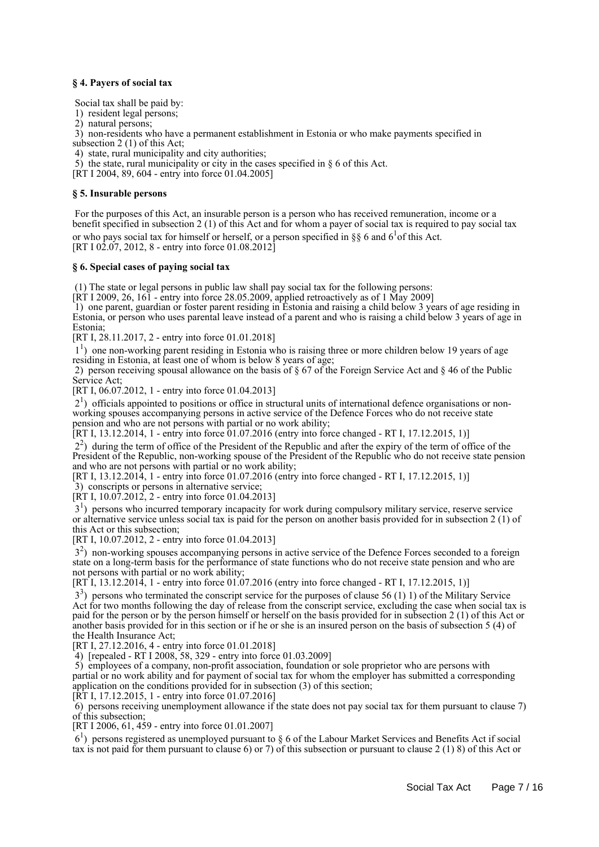#### **§ 4. Payers of social tax**

Social tax shall be paid by:

- 1) resident legal persons;
- 2) natural persons;

3) non-residents who have a permanent establishment in Estonia or who make payments specified in

subsection 2 (1) of this Act;

4) state, rural municipality and city authorities;

5) the state, rural municipality or city in the cases specified in § 6 of this Act.

[RT I 2004, 89, 604 - entry into force 01.04.2005]

#### **§ 5. Insurable persons**

 For the purposes of this Act, an insurable person is a person who has received remuneration, income or a benefit specified in subsection 2 (1) of this Act and for whom a payer of social tax is required to pay social tax or who pays social tax for himself or herself, or a person specified in  $\S$  6 and 6<sup>1</sup> of this Act. [RT I 02.07, 2012, 8 - entry into force  $01.08.2012$ ]

#### **§ 6. Special cases of paying social tax**

(1) The state or legal persons in public law shall pay social tax for the following persons:

[RT I 2009, 26, 161 - entry into force 28.05.2009, applied retroactively as of 1 May 2009]

 1) one parent, guardian or foster parent residing in Estonia and raising a child below 3 years of age residing in Estonia, or person who uses parental leave instead of a parent and who is raising a child below 3 years of age in Estonia;

[RT I, 28.11.2017, 2 - entry into force 01.01.2018]

<sup>1</sup>) one non-working parent residing in Estonia who is raising three or more children below 19 years of age residing in Estonia, at least one of whom is below 8 years of age;

 2) person receiving spousal allowance on the basis of § 67 of the Foreign Service Act and § 46 of the Public Service Act;

[RT I, 06.07.2012, 1 - entry into force 01.04.2013]

 21 ) officials appointed to positions or office in structural units of international defence organisations or nonworking spouses accompanying persons in active service of the Defence Forces who do not receive state pension and who are not persons with partial or no work ability;

[RT I, 13.12.2014, 1 - entry into force 01.07.2016 (entry into force changed - RT I, 17.12.2015, 1)]

 22 ) during the term of office of the President of the Republic and after the expiry of the term of office of the President of the Republic, non-working spouse of the President of the Republic who do not receive state pension and who are not persons with partial or no work ability;

[RT I, 13.12.2014, 1 - entry into force 01.07.2016 (entry into force changed - RT I, 17.12.2015, 1)]

3) conscripts or persons in alternative service;

[RT I,  $10.07.2012$ , 2 - entry into force 01.04.2013]

3<sup>1</sup>) persons who incurred temporary incapacity for work during compulsory military service, reserve service or alternative service unless social tax is paid for the person on another basis provided for in subsection 2 (1) of this Act or this subsection;

[RT I, 10.07.2012, 2 - entry into force 01.04.2013]

 32 ) non-working spouses accompanying persons in active service of the Defence Forces seconded to a foreign state on a long-term basis for the performance of state functions who do not receive state pension and who are not persons with partial or no work ability;

 $[RT\overline{1}, 13.12.201\overline{4}, 1$  - entry into force 01.07.2016 (entry into force changed - RT I, 17.12.2015, 1)]

 33 ) persons who terminated the conscript service for the purposes of clause 56 (1) 1) of the Military Service Act for two months following the day of release from the conscript service, excluding the case when social tax is paid for the person or by the person himself or herself on the basis provided for in subsection 2 (1) of this Act or another basis provided for in this section or if he or she is an insured person on the basis of subsection 5 (4) of the Health Insurance Act;

[RT I, 27.12.2016, 4 - entry into force 01.01.2018]

4) [repealed - RT I 2008, 58, 329 - entry into force 01.03.2009]

 5) employees of a company, non-profit association, foundation or sole proprietor who are persons with partial or no work ability and for payment of social tax for whom the employer has submitted a corresponding application on the conditions provided for in subsection (3) of this section;

[RT I, 17.12.2015, 1 - entry into force 01.07.2016]

 $\overline{6}$ ) persons receiving unemployment allowance if the state does not pay social tax for them pursuant to clause 7) of this subsection;

[RT I 2006, 61, 459 - entry into force 01.01.2007]

 61 ) persons registered as unemployed pursuant to § 6 of the Labour Market Services and Benefits Act if social tax is not paid for them pursuant to clause 6) or 7) of this subsection or pursuant to clause 2 (1) 8) of this Act or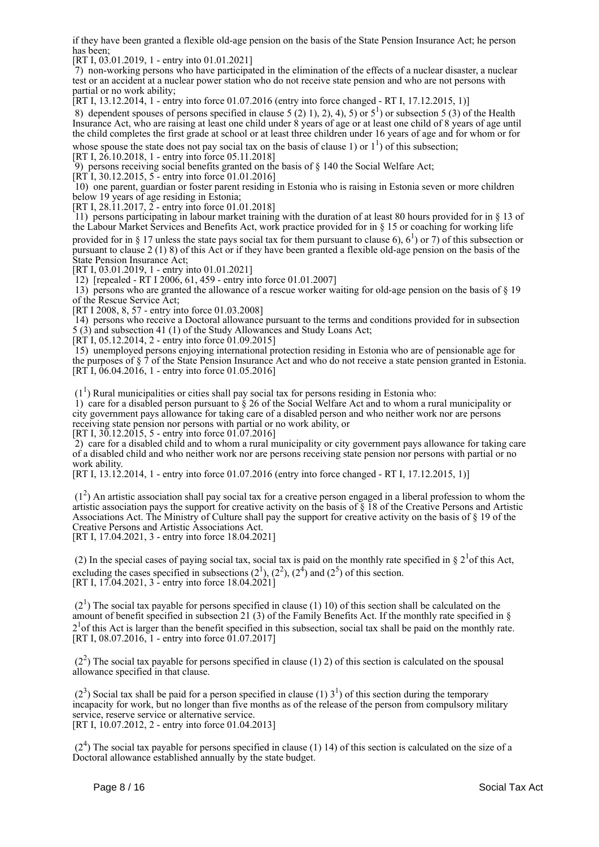if they have been granted a flexible old-age pension on the basis of the State Pension Insurance Act; he person has been;

[RT I, 03.01.2019, 1 - entry into 01.01.2021]

 7) non-working persons who have participated in the elimination of the effects of a nuclear disaster, a nuclear test or an accident at a nuclear power station who do not receive state pension and who are not persons with partial or no work ability;

[RT I, 13.12.2014, 1 - entry into force 01.07.2016 (entry into force changed - RT I, 17.12.2015, 1)]

8) dependent spouses of persons specified in clause  $5(2)$  1), 2), 4), 5) or  $5^1$ ) or subsection 5 (3) of the Health Insurance Act, who are raising at least one child under 8 years of age or at least one child of 8 years of age until the child completes the first grade at school or at least three children under 16 years of age and for whom or for

whose spouse the state does not pay social tax on the basis of clause 1) or  $1^1$ ) of this subsection;

[RT I, 26.10.2018, 1 - entry into force 05.11.2018]

9) persons receiving social benefits granted on the basis of § 140 the Social Welfare Act;

[RT I, 30.12.2015, 5 - entry into force 01.01.2016]

 10) one parent, guardian or foster parent residing in Estonia who is raising in Estonia seven or more children below 19 years of age residing in Estonia;

[RT I, 28.11.2017,  $\Sigma$  - entry into force 01.01.2018]

 11) persons participating in labour market training with the duration of at least 80 hours provided for in § 13 of the Labour Market Services and Benefits Act, work practice provided for in § 15 or coaching for working life provided for in § 17 unless the state pays social tax for them pursuant to clause 6),  $6^1$ ) or 7) of this subsection or pursuant to clause 2 (1) 8) of this Act or if they have been granted a flexible old-age pension on the basis of the State Pension Insurance Act;

[RT I, 03.01.2019, 1 - entry into 01.01.2021]

12) [repealed - RT I 2006, 61, 459 - entry into force 01.01.2007]

 13) persons who are granted the allowance of a rescue worker waiting for old-age pension on the basis of § 19 of the Rescue Service Act;

[RT I 2008, 8, 57 - entry into force 01.03.2008]

 14) persons who receive a Doctoral allowance pursuant to the terms and conditions provided for in subsection 5 (3) and subsection 41 (1) of the Study Allowances and Study Loans Act;

[RT I, 05.12.2014, 2 - entry into force 01.09.2015]

 15) unemployed persons enjoying international protection residing in Estonia who are of pensionable age for the purposes of § 7 of the State Pension Insurance Act and who do not receive a state pension granted in Estonia. [RT I,  $\overline{06.04.2016}$ , 1 - entry into force 01.05.2016]

 $(1<sup>1</sup>)$  Rural municipalities or cities shall pay social tax for persons residing in Estonia who:

 1) care for a disabled person pursuant to § 26 of the Social Welfare Act and to whom a rural municipality or city government pays allowance for taking care of a disabled person and who neither work nor are persons receiving state pension nor persons with partial or no work ability, or [RT I, 30.12.2015, 5 - entry into force 01.07.2016]

 2) care for a disabled child and to whom a rural municipality or city government pays allowance for taking care of a disabled child and who neither work nor are persons receiving state pension nor persons with partial or no work ability.

[RT I, 13.12.2014, 1 - entry into force 01.07.2016 (entry into force changed - RT I, 17.12.2015, 1)]

 $(1<sup>2</sup>)$  An artistic association shall pay social tax for a creative person engaged in a liberal profession to whom the artistic association pays the support for creative activity on the basis of § 18 of the Creative Persons and Artistic Associations Act. The Ministry of Culture shall pay the support for creative activity on the basis of § 19 of the Creative Persons and Artistic Associations Act. [RT I, 17.04.2021, 3 - entry into force 18.04.2021]

(2) In the special cases of paying social tax, social tax is paid on the monthly rate specified in  $\S 2<sup>1</sup>$  of this Act, excluding the cases specified in subsections  $(2^1)$ ,  $(2^2)$ ,  $(2^4)$  and  $(2^5)$  of this section. [RT I, 17.04.2021, 3 - entry into force 18.04.2021]

 $(2<sup>1</sup>)$  The social tax payable for persons specified in clause (1) 10) of this section shall be calculated on the amount of benefit specified in subsection 21 (3) of the Family Benefits Act. If the monthly rate specified in §  $2<sup>1</sup>$ of this Act is larger than the benefit specified in this subsection, social tax shall be paid on the monthly rate. [RT I, 08.07.2016, 1 - entry into force 01.07.2017]

 $(2<sup>2</sup>)$  The social tax payable for persons specified in clause (1) 2) of this section is calculated on the spousal allowance specified in that clause.

 $(2<sup>3</sup>)$  Social tax shall be paid for a person specified in clause (1) 3<sup>1</sup>) of this section during the temporary incapacity for work, but no longer than five months as of the release of the person from compulsory military service, reserve service or alternative service. [RT I, 10.07.2012, 2 - entry into force 01.04.2013]

 $(2<sup>4</sup>)$  The social tax payable for persons specified in clause (1) 14) of this section is calculated on the size of a Doctoral allowance established annually by the state budget.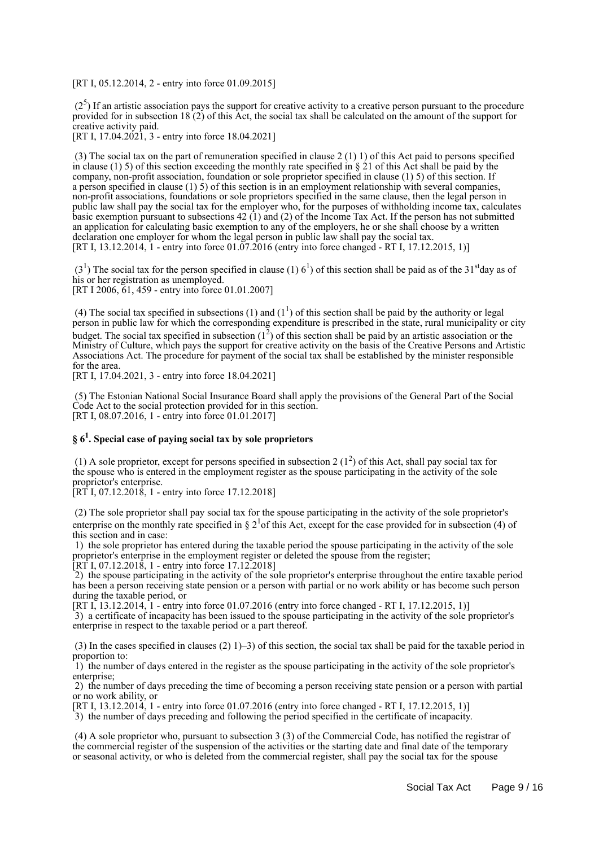[RT I, 05.12.2014, 2 - entry into force 01.09.2015]

 $(2<sup>5</sup>)$  If an artistic association pays the support for creative activity to a creative person pursuant to the procedure provided for in subsection 18 (2) of this Act, the social tax shall be calculated on the amount of the support for creative activity paid.

[RT I, 17.04.2021], 3 - entry into force 18.04.2021]

 (3) The social tax on the part of remuneration specified in clause 2 (1) 1) of this Act paid to persons specified in clause  $(1)$  5) of this section exceeding the monthly rate specified in § 21 of this Act shall be paid by the company, non-profit association, foundation or sole proprietor specified in clause (1) 5) of this section. If a person specified in clause  $(1)$  5) of this section is in an employment relationship with several companies, non-profit associations, foundations or sole proprietors specified in the same clause, then the legal person in public law shall pay the social tax for the employer who, for the purposes of withholding income tax, calculates basic exemption pursuant to subsections 42 (1) and (2) of the Income Tax Act. If the person has not submitted an application for calculating basic exemption to any of the employers, he or she shall choose by a written declaration one employer for whom the legal person in public law shall pay the social tax. [RT I, 13.12.2014, 1 - entry into force 01.07.2016 (entry into force changed - RT I, 17.12.2015, 1)]

 $(3<sup>1</sup>)$  The social tax for the person specified in clause (1) 6<sup>1</sup>) of this section shall be paid as of the 31<sup>st</sup>day as of his or her registration as unemployed. [RT I 2006, 61, 459 - entry into force 01.01.2007]

(4) The social tax specified in subsections (1) and ( $1<sup>1</sup>$ ) of this section shall be paid by the authority or legal person in public law for which the corresponding expenditure is prescribed in the state, rural municipality or city budget. The social tax specified in subsection  $(1^2)$  of this section shall be paid by an artistic association or the Ministry of Culture, which pays the support for creative activity on the basis of the Creative Persons and Artistic Associations Act. The procedure for payment of the social tax shall be established by the minister responsible for the area.

[RT I, 17.04.2021, 3 - entry into force 18.04.2021]

 (5) The Estonian National Social Insurance Board shall apply the provisions of the General Part of the Social Code Act to the social protection provided for in this section. [RT I, 08.07.2016, 1 - entry into force 01.01.2017]

## **§ 6<sup>1</sup> . Special case of paying social tax by sole proprietors**

(1) A sole proprietor, except for persons specified in subsection 2  $(1^2)$  of this Act, shall pay social tax for the spouse who is entered in the employment register as the spouse participating in the activity of the sole proprietor's enterprise.

 $[RT I, 07.12.2018, 1 -$  entry into force 17.12.2018]

 (2) The sole proprietor shall pay social tax for the spouse participating in the activity of the sole proprietor's enterprise on the monthly rate specified in  $\S 2<sup>1</sup>$  of this Act, except for the case provided for in subsection (4) of this section and in case:

 1) the sole proprietor has entered during the taxable period the spouse participating in the activity of the sole proprietor's enterprise in the employment register or deleted the spouse from the register;

[RT I, 07.12.2018, 1 - entry into force 17.12.2018]

 2) the spouse participating in the activity of the sole proprietor's enterprise throughout the entire taxable period has been a person receiving state pension or a person with partial or no work ability or has become such person during the taxable period, or

[RT I, 13.12.2014, 1 - entry into force 01.07.2016 (entry into force changed - RT I, 17.12.2015, 1)]

 3) a certificate of incapacity has been issued to the spouse participating in the activity of the sole proprietor's enterprise in respect to the taxable period or a part thereof.

 (3) In the cases specified in clauses (2) 1)–3) of this section, the social tax shall be paid for the taxable period in proportion to:

 1) the number of days entered in the register as the spouse participating in the activity of the sole proprietor's enterprise;

 2) the number of days preceding the time of becoming a person receiving state pension or a person with partial or no work ability, or

[RT I, 13.12.2014, 1 - entry into force 01.07.2016 (entry into force changed - RT I, 17.12.2015, 1)] 3) the number of days preceding and following the period specified in the certificate of incapacity.

 (4) A sole proprietor who, pursuant to subsection 3 (3) of the Commercial Code, has notified the registrar of the commercial register of the suspension of the activities or the starting date and final date of the temporary or seasonal activity, or who is deleted from the commercial register, shall pay the social tax for the spouse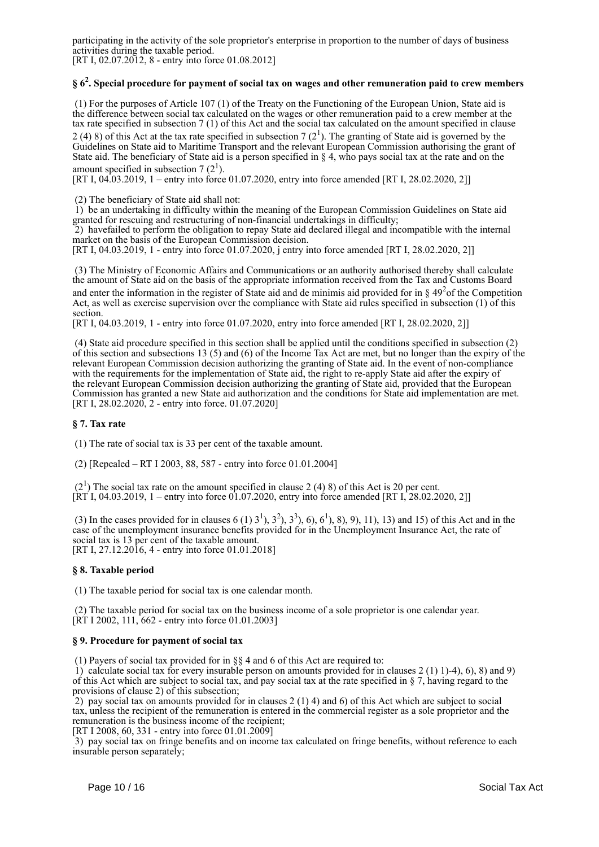participating in the activity of the sole proprietor's enterprise in proportion to the number of days of business activities during the taxable period.

[RT I, 02.07.2012, 8 - entry into force 01.08.2012]

## **§ 6<sup>2</sup> . Special procedure for payment of social tax on wages and other remuneration paid to crew members**

 (1) For the purposes of Article 107 (1) of the Treaty on the Functioning of the European Union, State aid is the difference between social tax calculated on the wages or other remuneration paid to a crew member at the tax rate specified in subsection 7 (1) of this Act and the social tax calculated on the amount specified in clause 2 (4) 8) of this Act at the tax rate specified in subsection 7  $(2^1)$ . The granting of State aid is governed by the Guidelines on State aid to Maritime Transport and the relevant European Commission authorising the grant of State aid. The beneficiary of State aid is a person specified in  $\S$  4, who pays social tax at the rate and on the amount specified in subsection 7  $(2^1)$ .

[RT I, 04.03.2019, 1 – entry into force 01.07.2020, entry into force amended [RT I, 28.02.2020, 2]]

(2) The beneficiary of State aid shall not:

 1) be an undertaking in difficulty within the meaning of the European Commission Guidelines on State aid granted for rescuing and restructuring of non-financial undertakings in difficulty;

 2) havefailed to perform the obligation to repay State aid declared illegal and incompatible with the internal market on the basis of the European Commission decision.

[RT I, 04.03.2019, 1 - entry into force 01.07.2020, j entry into force amended [RT I, 28.02.2020, 2]]

 (3) The Ministry of Economic Affairs and Communications or an authority authorised thereby shall calculate the amount of State aid on the basis of the appropriate information received from the Tax and Customs Board and enter the information in the register of State aid and de minimis aid provided for in  $\S 49<sup>2</sup>$  of the Competition Act, as well as exercise supervision over the compliance with State aid rules specified in subsection (1) of this section.

[RT I, 04.03.2019, 1 - entry into force 01.07.2020, entry into force amended [RT I, 28.02.2020, 2]]

 (4) State aid procedure specified in this section shall be applied until the conditions specified in subsection (2) of this section and subsections 13 (5) and (6) of the Income Tax Act are met, but no longer than the expiry of the relevant European Commission decision authorizing the granting of State aid. In the event of non-compliance with the requirements for the implementation of State aid, the right to re-apply State aid after the expiry of the relevant European Commission decision authorizing the granting of State aid, provided that the European Commission has granted a new State aid authorization and the conditions for State aid implementation are met. [RT I, 28.02.2020, 2 - entry into force. 01.07.2020]

#### **§ 7. Tax rate**

(1) The rate of social tax is 33 per cent of the taxable amount.

(2) [Repealed – RT I 2003, 88, 587 - entry into force 01.01.2004]

 $(2<sup>1</sup>)$  The social tax rate on the amount specified in clause 2 (4) 8) of this Act is 20 per cent. [RT I, 04.03.2019, 1 – entry into force 01.07.2020, entry into force amended [RT I, 28.02.2020, 2]]

(3) In the cases provided for in clauses 6 (1)  $3^1$ ,  $3^2$ ,  $3^3$ , 6,  $6^1$ , 8, 9, 9, 11, 13) and 15) of this Act and in the case of the unemployment insurance benefits provided for in the Unemployment Insurance Act, the rate of social tax is 13 per cent of the taxable amount. [RT I, 27.12.2016, 4 - entry into force 01.01.2018]

#### **§ 8. Taxable period**

(1) The taxable period for social tax is one calendar month.

 (2) The taxable period for social tax on the business income of a sole proprietor is one calendar year. [RT I 2002, 111, 662 - entry into force 01.01.2003]

#### **§ 9. Procedure for payment of social tax**

(1) Payers of social tax provided for in §§ 4 and 6 of this Act are required to:

 1) calculate social tax for every insurable person on amounts provided for in clauses 2 (1) 1)-4), 6), 8) and 9) of this Act which are subject to social tax, and pay social tax at the rate specified in  $\S$  7, having regard to the provisions of clause 2) of this subsection;

 2) pay social tax on amounts provided for in clauses 2 (1) 4) and 6) of this Act which are subject to social tax, unless the recipient of the remuneration is entered in the commercial register as a sole proprietor and the remuneration is the business income of the recipient;

[RT I 2008, 60, 331 - entry into force 01.01.2009]

 3) pay social tax on fringe benefits and on income tax calculated on fringe benefits, without reference to each insurable person separately;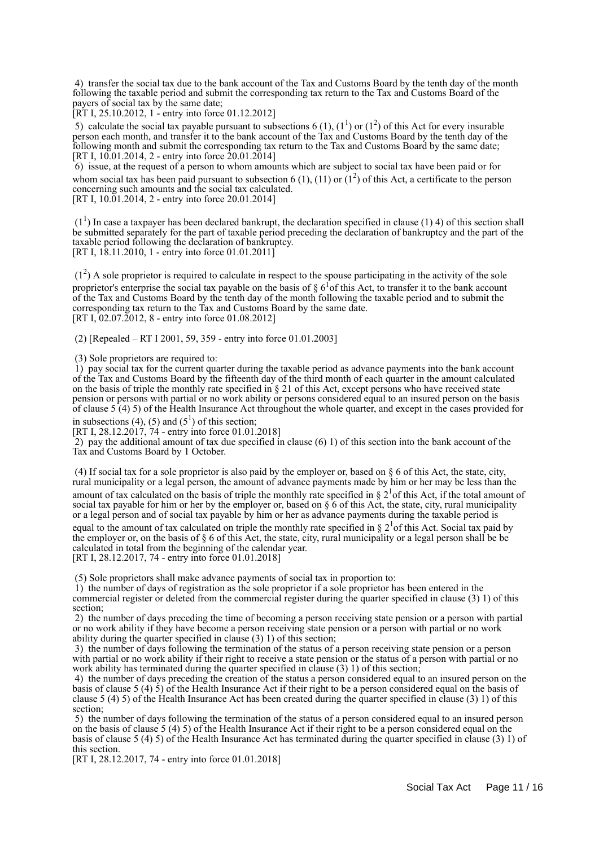4) transfer the social tax due to the bank account of the Tax and Customs Board by the tenth day of the month following the taxable period and submit the corresponding tax return to the Tax and Customs Board of the payers of social tax by the same date;

[RT I, 25.10.2012, 1 - entry into force 01.12.2012]

5) calculate the social tax payable pursuant to subsections 6 (1),  $(1^1)$  or  $(1^2)$  of this Act for every insurable person each month, and transfer it to the bank account of the Tax and Customs Board by the tenth day of the following month and submit the corresponding tax return to the Tax and Customs Board by the same date; [RT I, 10.01.2014, 2 - entry into force 20.01.2014]

 6) issue, at the request of a person to whom amounts which are subject to social tax have been paid or for whom social tax has been paid pursuant to subsection 6 (1), (11) or ( $1^2$ ) of this Act, a certificate to the person concerning such amounts and the social tax calculated. [RT I, 10.01.2014, 2 - entry into force 20.01.2014]

 $(1<sup>1</sup>)$  In case a taxpayer has been declared bankrupt, the declaration specified in clause (1) 4) of this section shall be submitted separately for the part of taxable period preceding the declaration of bankruptcy and the part of the taxable period following the declaration of bankruptcy. [RT I, 18.11.2010, 1 - entry into force 01.01.2011]

 $(1<sup>2</sup>)$  A sole proprietor is required to calculate in respect to the spouse participating in the activity of the sole proprietor's enterprise the social tax payable on the basis of  $\S 6^1$  of this Act, to transfer it to the bank account of the Tax and Customs Board by the tenth day of the month following the taxable period and to submit the corresponding tax return to the Tax and Customs Board by the same date. [RT I,  $02.07.2012$ , 8 - entry into force 01.08.2012]

(2) [Repealed – RT I 2001, 59, 359 - entry into force 01.01.2003]

(3) Sole proprietors are required to:

 1) pay social tax for the current quarter during the taxable period as advance payments into the bank account of the Tax and Customs Board by the fifteenth day of the third month of each quarter in the amount calculated on the basis of triple the monthly rate specified in § 21 of this Act, except persons who have received state pension or persons with partial or no work ability or persons considered equal to an insured person on the basis of clause 5 (4) 5) of the Health Insurance Act throughout the whole quarter, and except in the cases provided for

in subsections (4), (5) and ( $5<sup>1</sup>$ ) of this section;

[RT I, 28.12.2017, 74 - entry into force 01.01.2018]

2) pay the additional amount of tax due specified in clause  $(6)$  1) of this section into the bank account of the Tax and Customs Board by 1 October.

(4) If social tax for a sole proprietor is also paid by the employer or, based on  $\S 6$  of this Act, the state, city, rural municipality or a legal person, the amount of advance payments made by him or her may be less than the amount of tax calculated on the basis of triple the monthly rate specified in  $\S 2<sup>1</sup>$  of this Act, if the total amount of social tax payable for him or her by the employer or, based on  $\S$  6 of this Act, the state, city, rural municipality or a legal person and of social tax payable by him or her as advance payments during the taxable period is equal to the amount of tax calculated on triple the monthly rate specified in  $\S 2<sup>1</sup>$ of this Act. Social tax paid by the employer or, on the basis of § 6 of this Act, the state, city, rural municipality or a legal person shall be be calculated in total from the beginning of the calendar year. [RT I, 28.12.2017, 74 - entry into force 01.01.2018]

(5) Sole proprietors shall make advance payments of social tax in proportion to:

 1) the number of days of registration as the sole proprietor if a sole proprietor has been entered in the commercial register or deleted from the commercial register during the quarter specified in clause (3) 1) of this section;

 2) the number of days preceding the time of becoming a person receiving state pension or a person with partial or no work ability if they have become a person receiving state pension or a person with partial or no work ability during the quarter specified in clause (3) 1) of this section;

 3) the number of days following the termination of the status of a person receiving state pension or a person with partial or no work ability if their right to receive a state pension or the status of a person with partial or no work ability has terminated during the quarter specified in clause (3) 1) of this section;

4) the number of days preceding the creation of the status a person considered equal to an insured person on the basis of clause 5 (4) 5) of the Health Insurance Act if their right to be a person considered equal on the basis of clause 5 (4) 5) of the Health Insurance Act has been created during the quarter specified in clause (3) 1) of this section;

 5) the number of days following the termination of the status of a person considered equal to an insured person on the basis of clause 5 (4) 5) of the Health Insurance Act if their right to be a person considered equal on the basis of clause 5 (4) 5) of the Health Insurance Act has terminated during the quarter specified in clause (3) 1) of this section.

[RT I, 28.12.2017, 74 - entry into force 01.01.2018]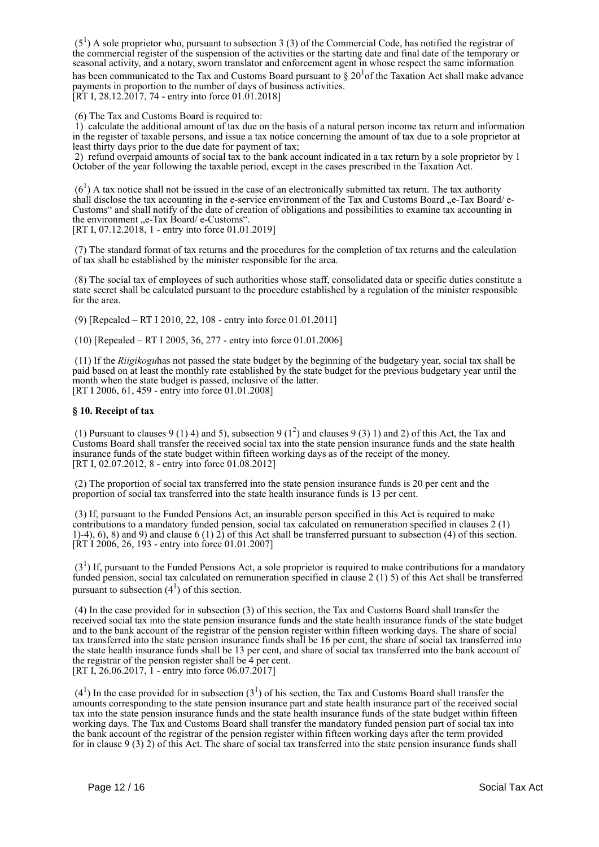$(5<sup>1</sup>)$  A sole proprietor who, pursuant to subsection 3 (3) of the Commercial Code, has notified the registrar of the commercial register of the suspension of the activities or the starting date and final date of the temporary or seasonal activity, and a notary, sworn translator and enforcement agent in whose respect the same information has been communicated to the Tax and Customs Board pursuant to  $\S 20<sup>1</sup>$ of the Taxation Act shall make advance payments in proportion to the number of days of business activities.  $[RT I, 28.12.2017, 74 - entry into force 01.01.2018]$ 

(6) The Tax and Customs Board is required to:

 1) calculate the additional amount of tax due on the basis of a natural person income tax return and information in the register of taxable persons, and issue a tax notice concerning the amount of tax due to a sole proprietor at least thirty days prior to the due date for payment of tax;

 2) refund overpaid amounts of social tax to the bank account indicated in a tax return by a sole proprietor by 1 October of the year following the taxable period, except in the cases prescribed in the Taxation Act.

 $(6<sup>1</sup>)$  A tax notice shall not be issued in the case of an electronically submitted tax return. The tax authority shall disclose the tax accounting in the e-service environment of the Tax and Customs Board "e-Tax Board/ e-Customs" and shall notify of the date of creation of obligations and possibilities to examine tax accounting in the environment "e-Tax Board/ e-Customs".

[RT I, 07.12.2018, 1 - entry into force 01.01.2019]

 (7) The standard format of tax returns and the procedures for the completion of tax returns and the calculation of tax shall be established by the minister responsible for the area.

 (8) The social tax of employees of such authorities whose staff, consolidated data or specific duties constitute a state secret shall be calculated pursuant to the procedure established by a regulation of the minister responsible for the area.

(9) [Repealed – RT I 2010, 22, 108 - entry into force 01.01.2011]

(10) [Repealed – RT I 2005, 36, 277 - entry into force 01.01.2006]

 (11) If the *Riigikogu*has not passed the state budget by the beginning of the budgetary year, social tax shall be paid based on at least the monthly rate established by the state budget for the previous budgetary year until the month when the state budget is passed, inclusive of the latter. [RT I 2006, 61, 459 - entry into force 01.01.2008]

#### **§ 10. Receipt of tax**

(1) Pursuant to clauses 9 (1) 4) and 5), subsection 9 ( $1^2$ ) and clauses 9 (3) 1) and 2) of this Act, the Tax and Customs Board shall transfer the received social tax into the state pension insurance funds and the state health insurance funds of the state budget within fifteen working days as of the receipt of the money. [RT I, 02.07.2012, 8 - entry into force 01.08.2012]

 (2) The proportion of social tax transferred into the state pension insurance funds is 20 per cent and the proportion of social tax transferred into the state health insurance funds is 13 per cent.

 (3) If, pursuant to the Funded Pensions Act, an insurable person specified in this Act is required to make contributions to a mandatory funded pension, social tax calculated on remuneration specified in clauses 2 (1) 1)-4), 6), 8) and 9) and clause 6 (1) 2) of this Act shall be transferred pursuant to subsection (4) of this section.  $[RT\overline{1}2006, 26, 193$  - entry into force 01.01.2007]

 $(3<sup>1</sup>)$  If, pursuant to the Funded Pensions Act, a sole proprietor is required to make contributions for a mandatory funded pension, social tax calculated on remuneration specified in clause 2 (1) 5) of this Act shall be transferred pursuant to subsection  $(4^1)$  of this section.

 (4) In the case provided for in subsection (3) of this section, the Tax and Customs Board shall transfer the received social tax into the state pension insurance funds and the state health insurance funds of the state budget and to the bank account of the registrar of the pension register within fifteen working days. The share of social tax transferred into the state pension insurance funds shall be 16 per cent, the share of social tax transferred into the state health insurance funds shall be 13 per cent, and share of social tax transferred into the bank account of the registrar of the pension register shall be 4 per cent. [RT I, 26.06.2017, 1 - entry into force 06.07.2017]

 $(4<sup>1</sup>)$  In the case provided for in subsection  $(3<sup>1</sup>)$  of his section, the Tax and Customs Board shall transfer the amounts corresponding to the state pension insurance part and state health insurance part of the received social tax into the state pension insurance funds and the state health insurance funds of the state budget within fifteen working days. The Tax and Customs Board shall transfer the mandatory funded pension part of social tax into the bank account of the registrar of the pension register within fifteen working days after the term provided for in clause 9 (3) 2) of this Act. The share of social tax transferred into the state pension insurance funds shall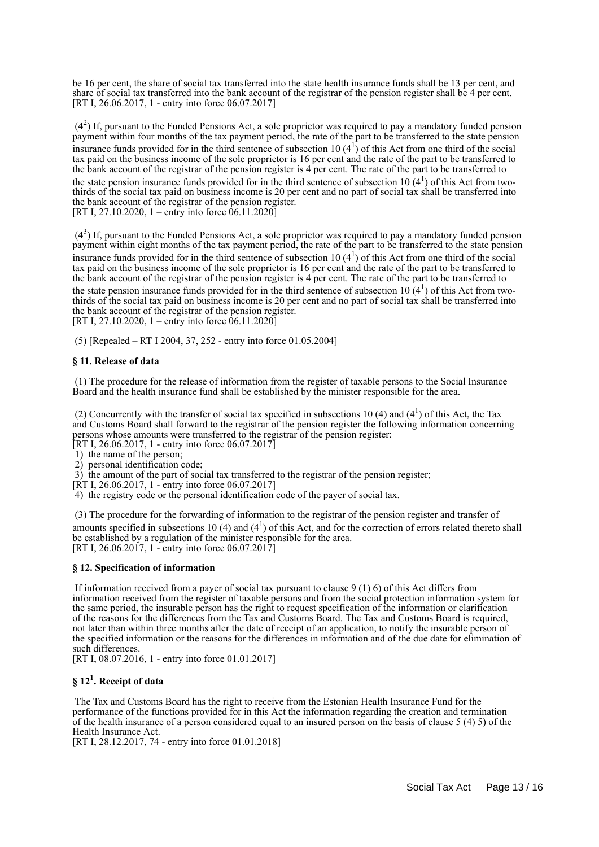be 16 per cent, the share of social tax transferred into the state health insurance funds shall be 13 per cent, and share of social tax transferred into the bank account of the registrar of the pension register shall be 4 per cent. [RT I, 26.06.2017, 1 - entry into force 06.07.2017]

 (4<sup>2</sup> ) If, pursuant to the Funded Pensions Act, a sole proprietor was required to pay a mandatory funded pension payment within four months of the tax payment period, the rate of the part to be transferred to the state pension insurance funds provided for in the third sentence of subsection 10  $(4^1)$  of this Act from one third of the social tax paid on the business income of the sole proprietor is 16 per cent and the rate of the part to be transferred to the bank account of the registrar of the pension register is 4 per cent. The rate of the part to be transferred to the state pension insurance funds provided for in the third sentence of subsection 10  $(4^1)$  of this Act from twothirds of the social tax paid on business income is 20 per cent and no part of social tax shall be transferred into the bank account of the registrar of the pension register.

[RT I, 27.10.2020, 1 – entry into force  $06.11.2020$ ]

 (4<sup>3</sup> ) If, pursuant to the Funded Pensions Act, a sole proprietor was required to pay a mandatory funded pension payment within eight months of the tax payment period, the rate of the part to be transferred to the state pension insurance funds provided for in the third sentence of subsection 10  $(4^1)$  of this Act from one third of the social tax paid on the business income of the sole proprietor is 16 per cent and the rate of the part to be transferred to the bank account of the registrar of the pension register is 4 per cent. The rate of the part to be transferred to the state pension insurance funds provided for in the third sentence of subsection 10  $(4^1)$  of this Act from twothirds of the social tax paid on business income is 20 per cent and no part of social tax shall be transferred into the bank account of the registrar of the pension register.

[RT I, 27.10.2020, 1 – entry into force  $06.11.2020$ ]

(5) [Repealed – RT I 2004, 37, 252 - entry into force 01.05.2004]

#### **§ 11. Release of data**

 (1) The procedure for the release of information from the register of taxable persons to the Social Insurance Board and the health insurance fund shall be established by the minister responsible for the area.

(2) Concurrently with the transfer of social tax specified in subsections 10 (4) and (4<sup>1</sup>) of this Act, the Tax and Customs Board shall forward to the registrar of the pension register the following information concerning persons whose amounts were transferred to the registrar of the pension register:

[RT I, 26.06.2017, 1 - entry into force 06.07.2017]

1) the name of the person;

2) personal identification code;

3) the amount of the part of social tax transferred to the registrar of the pension register;

[RT I, 26.06.2017, 1 - entry into force 06.07.2017]

4) the registry code or the personal identification code of the payer of social tax.

 (3) The procedure for the forwarding of information to the registrar of the pension register and transfer of amounts specified in subsections 10 (4) and ( $4<sup>1</sup>$ ) of this Act, and for the correction of errors related thereto shall be established by a regulation of the minister responsible for the area. [RT I, 26.06.2017, 1 - entry into force 06.07.2017]

#### **§ 12. Specification of information**

If information received from a payer of social tax pursuant to clause  $9(1)$  6) of this Act differs from information received from the register of taxable persons and from the social protection information system for the same period, the insurable person has the right to request specification of the information or clarification of the reasons for the differences from the Tax and Customs Board. The Tax and Customs Board is required, not later than within three months after the date of receipt of an application, to notify the insurable person of the specified information or the reasons for the differences in information and of the due date for elimination of such differences.

[RT I, 08.07.2016, 1 - entry into force 01.01.2017]

## **§ 12<sup>1</sup> . Receipt of data**

 The Tax and Customs Board has the right to receive from the Estonian Health Insurance Fund for the performance of the functions provided for in this Act the information regarding the creation and termination of the health insurance of a person considered equal to an insured person on the basis of clause 5 (4) 5) of the Health Insurance Act.

[RT I, 28.12.2017, 74 - entry into force 01.01.2018]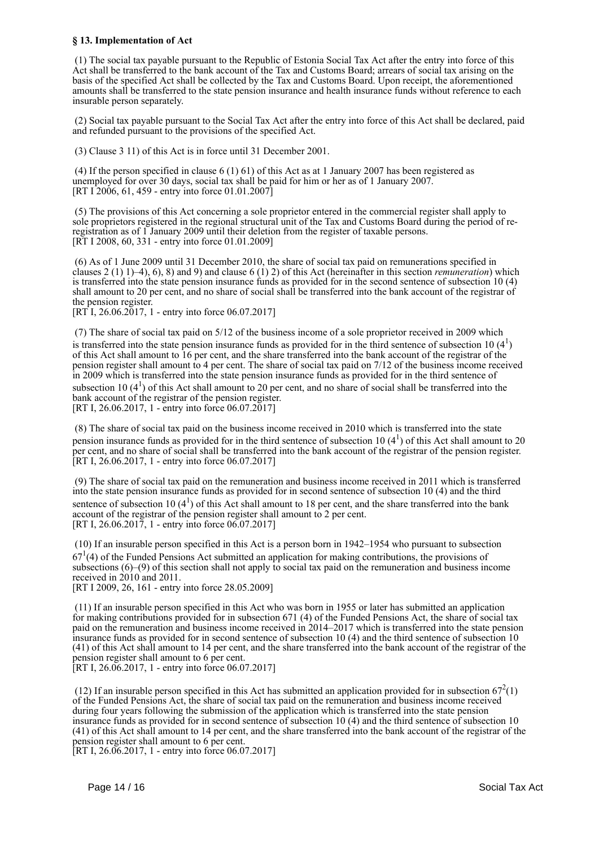#### **§ 13. Implementation of Act**

 (1) The social tax payable pursuant to the Republic of Estonia Social Tax Act after the entry into force of this Act shall be transferred to the bank account of the Tax and Customs Board; arrears of social tax arising on the basis of the specified Act shall be collected by the Tax and Customs Board. Upon receipt, the aforementioned amounts shall be transferred to the state pension insurance and health insurance funds without reference to each insurable person separately.

 (2) Social tax payable pursuant to the Social Tax Act after the entry into force of this Act shall be declared, paid and refunded pursuant to the provisions of the specified Act.

(3) Clause 3 11) of this Act is in force until 31 December 2001.

 (4) If the person specified in clause 6 (1) 61) of this Act as at 1 January 2007 has been registered as unemployed for over 30 days, social tax shall be paid for him or her as of 1 January 2007. [RT  $1\overline{2006}$ , 61, 459 - entry into force 01.01.2007]

 (5) The provisions of this Act concerning a sole proprietor entered in the commercial register shall apply to sole proprietors registered in the regional structural unit of the Tax and Customs Board during the period of reregistration as of 1 January 2009 until their deletion from the register of taxable persons. [RT I 2008, 60, 331 - entry into force 01.01.2009]

 (6) As of 1 June 2009 until 31 December 2010, the share of social tax paid on remunerations specified in clauses 2 (1) 1)–4), 6), 8) and 9) and clause 6 (1) 2) of this Act (hereinafter in this section *remuneration*) which is transferred into the state pension insurance funds as provided for in the second sentence of subsection 10 (4) shall amount to 20 per cent, and no share of social shall be transferred into the bank account of the registrar of the pension register.

 $[RT<sup>†</sup> I, 26.06.2017, 1 - entry into force 06.07.2017]$ 

 (7) The share of social tax paid on 5/12 of the business income of a sole proprietor received in 2009 which is transferred into the state pension insurance funds as provided for in the third sentence of subsection 10 $(4<sup>1</sup>)$ of this Act shall amount to 16 per cent, and the share transferred into the bank account of the registrar of the pension register shall amount to 4 per cent. The share of social tax paid on 7/12 of the business income received in 2009 which is transferred into the state pension insurance funds as provided for in the third sentence of subsection 10  $(4^1)$  of this Act shall amount to 20 per cent, and no share of social shall be transferred into the bank account of the registrar of the pension register. [RT I, 26.06.2017, 1 - entry into force 06.07.2017]

 (8) The share of social tax paid on the business income received in 2010 which is transferred into the state pension insurance funds as provided for in the third sentence of subsection 10  $(4^1)$  of this Act shall amount to 20 per cent, and no share of social shall be transferred into the bank account of the registrar of the pension register. [RT I,  $26.06.2017$ , 1 - entry into force 06.07.2017]

 (9) The share of social tax paid on the remuneration and business income received in 2011 which is transferred into the state pension insurance funds as provided for in second sentence of subsection 10 (4) and the third sentence of subsection 10  $(4^1)$  of this Act shall amount to 18 per cent, and the share transferred into the bank account of the registrar of the pension register shall amount to 2 per cent. [RT I, 26.06.2017, 1 - entry into force 06.07.2017]

 (10) If an insurable person specified in this Act is a person born in 1942–1954 who pursuant to subsection  $67<sup>1</sup>(4)$  of the Funded Pensions Act submitted an application for making contributions, the provisions of subsections (6)–(9) of this section shall not apply to social tax paid on the remuneration and business income received in 2010 and 2011.

[RT I 2009, 26, 161 - entry into force 28.05.2009]

 (11) If an insurable person specified in this Act who was born in 1955 or later has submitted an application for making contributions provided for in subsection 671 (4) of the Funded Pensions Act, the share of social tax paid on the remuneration and business income received in 2014–2017 which is transferred into the state pension insurance funds as provided for in second sentence of subsection 10 (4) and the third sentence of subsection 10 (41) of this Act shall amount to 14 per cent, and the share transferred into the bank account of the registrar of the pension register shall amount to 6 per cent.

[RT I, 26.06.2017, 1 - entry into force 06.07.2017]

(12) If an insurable person specified in this Act has submitted an application provided for in subsection  $67<sup>2</sup>(1)$ of the Funded Pensions Act, the share of social tax paid on the remuneration and business income received during four years following the submission of the application which is transferred into the state pension insurance funds as provided for in second sentence of subsection 10 (4) and the third sentence of subsection 10 (41) of this Act shall amount to 14 per cent, and the share transferred into the bank account of the registrar of the pension register shall amount to 6 per cent.

[RT I, 26.06.2017, 1 - entry into force 06.07.2017]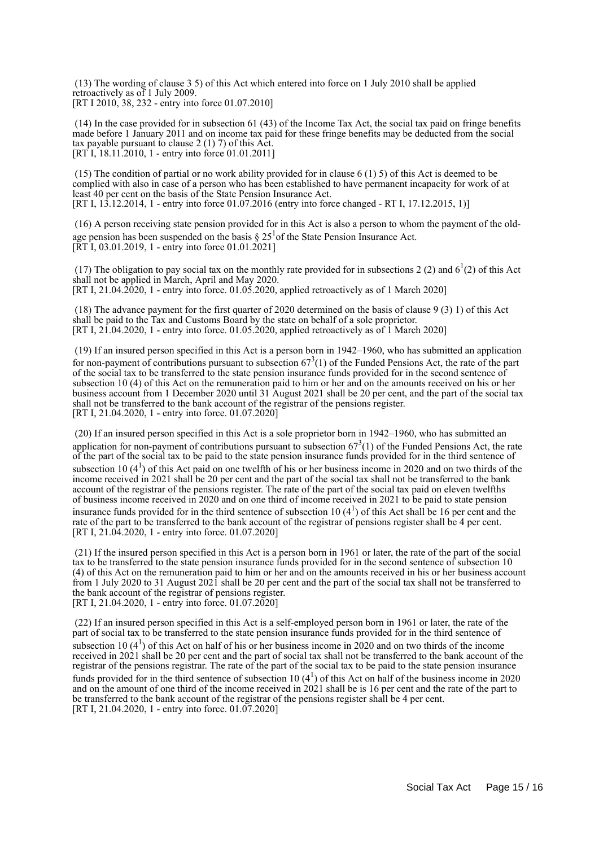(13) The wording of clause 3 5) of this Act which entered into force on 1 July 2010 shall be applied retroactively as of 1 July 2009. [RT I 2010, 38, 232 - entry into force 01.07.2010]

 (14) In the case provided for in subsection 61 (43) of the Income Tax Act, the social tax paid on fringe benefits made before 1 January 2011 and on income tax paid for these fringe benefits may be deducted from the social tax payable pursuant to clause 2 (1) 7) of this Act. [RT I, 18.11.2010, 1 - entry into force 01.01.2011]

 (15) The condition of partial or no work ability provided for in clause 6 (1) 5) of this Act is deemed to be complied with also in case of a person who has been established to have permanent incapacity for work of at least 40 per cent on the basis of the State Pension Insurance Act. [RT I, 13.12.2014, 1 - entry into force 01.07.2016 (entry into force changed - RT I, 17.12.2015, 1)]

 (16) A person receiving state pension provided for in this Act is also a person to whom the payment of the oldage pension has been suspended on the basis  $\S 25^{\circ}$  of the State Pension Insurance Act. [RT I, 03.01.2019, 1 - entry into force 01.01.2021]

(17) The obligation to pay social tax on the monthly rate provided for in subsections 2 (2) and  $6<sup>1</sup>(2)$  of this Act shall not be applied in March, April and May 2020. [RT I, 21.04.2020, 1 - entry into force. 01.05.2020, applied retroactively as of 1 March 2020]

 (18) The advance payment for the first quarter of 2020 determined on the basis of clause 9 (3) 1) of this Act shall be paid to the Tax and Customs Board by the state on behalf of a sole proprietor. [RT I, 21.04.2020, 1 - entry into force. 01.05.2020, applied retroactively as of 1 March 2020]

 (19) If an insured person specified in this Act is a person born in 1942–1960, who has submitted an application for non-payment of contributions pursuant to subsection  $67<sup>3</sup>(1)$  of the Funded Pensions Act, the rate of the part of the social tax to be transferred to the state pension insurance funds provided for in the second sentence of subsection 10 (4) of this Act on the remuneration paid to him or her and on the amounts received on his or her business account from 1 December 2020 until 31 August 2021 shall be 20 per cent, and the part of the social tax shall not be transferred to the bank account of the registrar of the pensions register. [RT I, 21.04.2020, 1 - entry into force. 01.07.2020]

 (20) If an insured person specified in this Act is a sole proprietor born in 1942–1960, who has submitted an application for non-payment of contributions pursuant to subsection  $67<sup>3</sup>(1)$  of the Funded Pensions Act, the rate of the part of the social tax to be paid to the state pension insurance funds provided for in the third sentence of subsection 10  $(4^1)$  of this Act paid on one twelfth of his or her business income in 2020 and on two thirds of the income received in 2021 shall be 20 per cent and the part of the social tax shall not be transferred to the bank account of the registrar of the pensions register. The rate of the part of the social tax paid on eleven twelfths of business income received in 2020 and on one third of income received in 2021 to be paid to state pension insurance funds provided for in the third sentence of subsection 10  $(4^1)$  of this Act shall be 16 per cent and the rate of the part to be transferred to the bank account of the registrar of pensions register shall be 4 per cent. [RT I, 21.04.2020, 1 - entry into force. 01.07.2020]

 (21) If the insured person specified in this Act is a person born in 1961 or later, the rate of the part of the social tax to be transferred to the state pension insurance funds provided for in the second sentence of subsection 10 (4) of this Act on the remuneration paid to him or her and on the amounts received in his or her business account from 1 July 2020 to 31 August 2021 shall be 20 per cent and the part of the social tax shall not be transferred to the bank account of the registrar of pensions register. [RT I, 21.04.2020, 1 - entry into force. 01.07.2020]

 (22) If an insured person specified in this Act is a self-employed person born in 1961 or later, the rate of the part of social tax to be transferred to the state pension insurance funds provided for in the third sentence of subsection 10  $(4^1)$  of this Act on half of his or her business income in 2020 and on two thirds of the income received in 2021 shall be 20 per cent and the part of social tax shall not be transferred to the bank account of the registrar of the pensions registrar. The rate of the part of the social tax to be paid to the state pension insurance funds provided for in the third sentence of subsection 10  $(4^1)$  of this Act on half of the business income in 2020 and on the amount of one third of the income received in 2021 shall be is 16 per cent and the rate of the part to be transferred to the bank account of the registrar of the pensions register shall be 4 per cent. [RT I, 21.04.2020, 1 - entry into force. 01.07.2020]